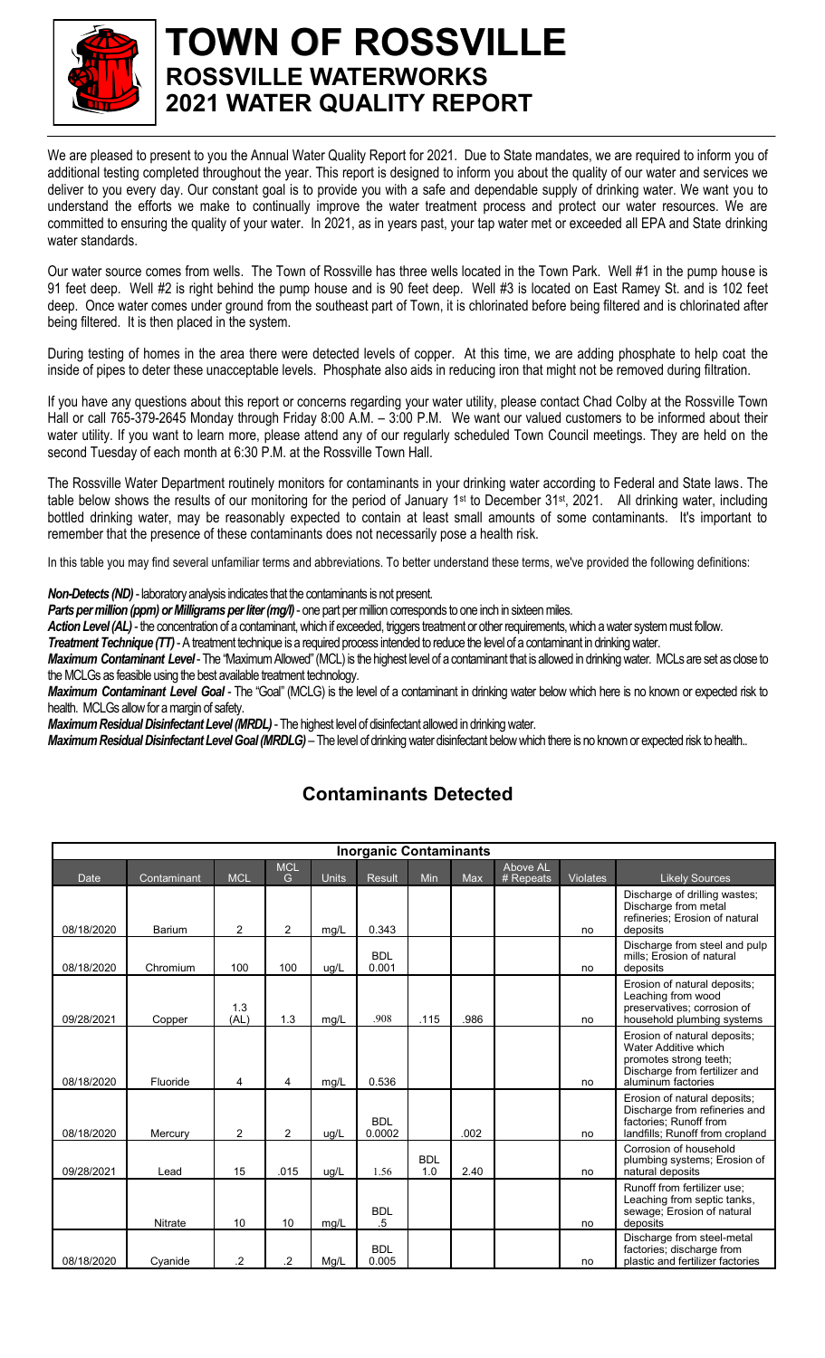

## **TOWN OF ROSSVILLE ROSSVILLE WATERWORKS 2021 WATER QUALITY REPORT**

We are pleased to present to you the Annual Water Quality Report for 2021. Due to State mandates, we are required to inform you of additional testing completed throughout the year. This report is designed to inform you about the quality of our water and services we deliver to you every day. Our constant goal is to provide you with a safe and dependable supply of drinking water. We want you to understand the efforts we make to continually improve the water treatment process and protect our water resources. We are committed to ensuring the quality of your water. In 2021, as in years past, your tap water met or exceeded all EPA and State drinking water standards.

Our water source comes from wells. The Town of Rossville has three wells located in the Town Park. Well #1 in the pump house is 91 feet deep. Well #2 is right behind the pump house and is 90 feet deep. Well #3 is located on East Ramey St. and is 102 feet deep. Once water comes under ground from the southeast part of Town, it is chlorinated before being filtered and is chlorinated after being filtered. It is then placed in the system.

During testing of homes in the area there were detected levels of copper. At this time, we are adding phosphate to help coat the inside of pipes to deter these unacceptable levels. Phosphate also aids in reducing iron that might not be removed during filtration.

If you have any questions about this report or concerns regarding your water utility, please contact Chad Colby at the Rossville Town Hall or call 765-379-2645 Monday through Friday 8:00 A.M. – 3:00 P.M. We want our valued customers to be informed about their water utility. If you want to learn more, please attend any of our regularly scheduled Town Council meetings. They are held on the second Tuesday of each month at 6:30 P.M. at the Rossville Town Hall.

The Rossville Water Department routinely monitors for contaminants in your drinking water according to Federal and State laws. The table below shows the results of our monitoring for the period of January 1<sup>st</sup> to December 31<sup>st</sup>, 2021. All drinking water, including bottled drinking water, may be reasonably expected to contain at least small amounts of some contaminants. It's important to remember that the presence of these contaminants does not necessarily pose a health risk.

In this table you may find several unfamiliar terms and abbreviations. To better understand these terms, we've provided the following definitions:

**Non-Detects (ND)** - laboratory analysis indicates that the contaminants is not present.

*Parts per million (ppm) or Milligrams per liter (mg/l)*- one part per million corresponds to one inch in sixteen miles.

Action Level (AL) - the concentration of a contaminant, which if exceeded, triggers treatment or other requirements, which a water system must follow.

*Treatment Technique (TT)*-A treatment technique is a required process intended to reduce the level of a contaminant in drinking water.

*Maximum Contaminant Level*- The "Maximum Allowed" (MCL) is the highest level of a contaminant that is allowed in drinking water. MCLs are set as close to the MCLGs as feasible using the best available treatment technology.

*Maximum Contaminant Level Goal* - The "Goal" (MCLG) is the level of a contaminant in drinking water below which here is no known or expected risk to health. MCLGs allow for a margin of safety.

*Maximum Residual Disinfectant Level (MRDL)*- The highest level of disinfectant allowed in drinking water.

*Maximum Residual Disinfectant Level Goal (MRDLG)* –The level of drinking water disinfectant below which there is no known or expected risk to health..

## **Contaminants Detected**

| <b>Inorganic Contaminants</b> |                |                |                 |              |                      |                   |      |                       |                 |                                                                                                                                       |  |  |
|-------------------------------|----------------|----------------|-----------------|--------------|----------------------|-------------------|------|-----------------------|-----------------|---------------------------------------------------------------------------------------------------------------------------------------|--|--|
| Date                          | Contaminant    | <b>MCL</b>     | <b>MCL</b><br>G | <b>Units</b> | <b>Result</b>        | Min               | Max  | Above AL<br># Repeats | <b>Violates</b> | <b>Likely Sources</b>                                                                                                                 |  |  |
| 08/18/2020                    | <b>Barium</b>  | 2              | $\overline{2}$  | mq/L         | 0.343                |                   |      |                       | no              | Discharge of drilling wastes;<br>Discharge from metal<br>refineries; Erosion of natural<br>deposits                                   |  |  |
| 08/18/2020                    | Chromium       | 100            | 100             | ug/L         | <b>BDL</b><br>0.001  |                   |      |                       | no              | Discharge from steel and pulp<br>mills; Erosion of natural<br>deposits                                                                |  |  |
| 09/28/2021                    | Copper         | 1.3<br>(AL)    | 1.3             | mg/L         | .908                 | .115              | .986 |                       | no              | Erosion of natural deposits;<br>Leaching from wood<br>preservatives; corrosion of<br>household plumbing systems                       |  |  |
| 08/18/2020                    | Fluoride       | 4              | 4               | mq/L         | 0.536                |                   |      |                       | no              | Erosion of natural deposits;<br>Water Additive which<br>promotes strong teeth;<br>Discharge from fertilizer and<br>aluminum factories |  |  |
| 08/18/2020                    | Mercury        | $\overline{2}$ | $\overline{2}$  | ug/L         | <b>BDL</b><br>0.0002 |                   | .002 |                       | no              | Erosion of natural deposits;<br>Discharge from refineries and<br>factories; Runoff from<br>landfills; Runoff from cropland            |  |  |
| 09/28/2021                    | Lead           | 15             | .015            | ua/L         | 1.56                 | <b>BDL</b><br>1.0 | 2.40 |                       | no              | Corrosion of household<br>plumbing systems; Erosion of<br>natural deposits                                                            |  |  |
|                               | <b>Nitrate</b> | 10             | 10              | mg/L         | <b>BDL</b><br>.5     |                   |      |                       | no              | Runoff from fertilizer use:<br>Leaching from septic tanks,<br>sewage; Erosion of natural<br>deposits                                  |  |  |
| 08/18/2020                    | Cyanide        | $\overline{c}$ | $\overline{2}$  | Mq/L         | <b>BDL</b><br>0.005  |                   |      |                       | no              | Discharge from steel-metal<br>factories; discharge from<br>plastic and fertilizer factories                                           |  |  |